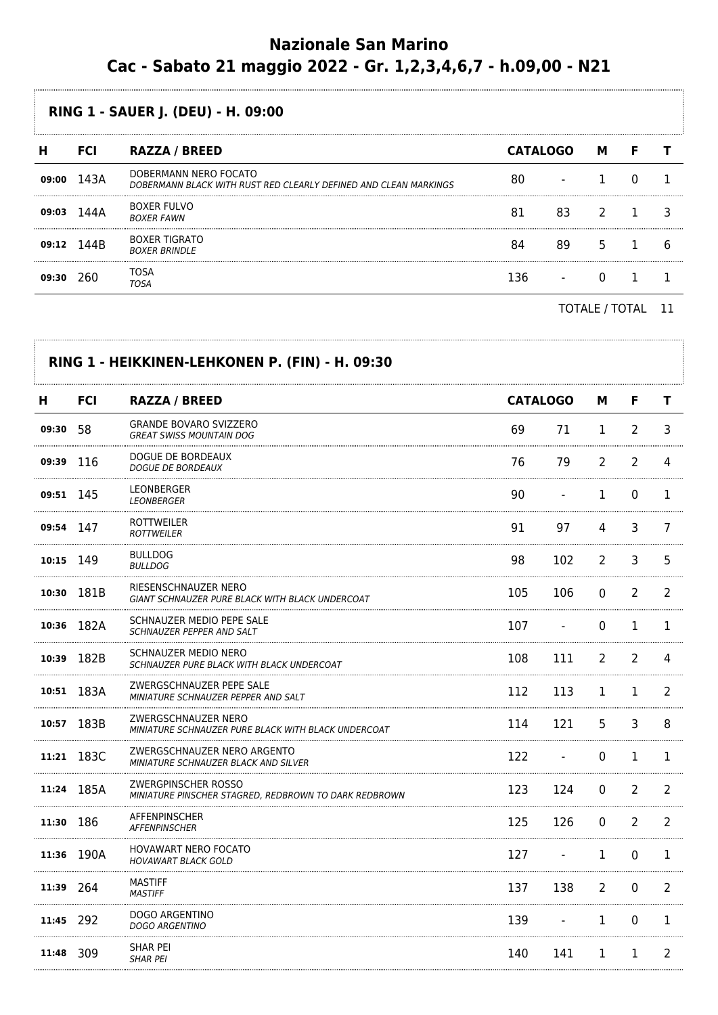## **Nazionale San Marino Cac - Sabato 21 maggio 2022 - Gr. 1,2,3,4,6,7 - h.09,00 - N21**

## **RING 1 - SAUER J. (DEU) - H. 09:00**

| п     | <b>FCI</b> | <b>RAZZA / BREED</b>                                                                      | <b>CATALOGO</b> |    | м |   |
|-------|------------|-------------------------------------------------------------------------------------------|-----------------|----|---|---|
| 09:00 | 143A       | DOBERMANN NERO FOCATO<br>DOBERMANN BLACK WITH RUST RED CLEARLY DEFINED AND CLEAN MARKINGS |                 |    |   |   |
| 09:03 | 144A       | <b>BOXER FULVO</b><br><b>BOXER FAWN</b>                                                   | 81              | 83 |   |   |
| 09:12 | 144B       | <b>BOXER TIGRATO</b><br><b>BOXER BRINDLE</b>                                              | 84              | 89 |   | n |
| 09:30 | 260        | TOSA<br>TOSA                                                                              | 136             |    |   |   |
|       |            |                                                                                           |                 |    |   |   |

TOTALE / TOTAL 11

| н         | <b>FCI</b> | <b>RAZZA / BREED</b>                                                         | <b>CATALOGO</b> |     | м              | F              | т |
|-----------|------------|------------------------------------------------------------------------------|-----------------|-----|----------------|----------------|---|
| 09:30     | 58         | <b>GRANDE BOVARO SVIZZERO</b><br><b>GREAT SWISS MOUNTAIN DOG</b>             | 69              | 71  | 1              | $\overline{2}$ | 3 |
| 09:39     | -116       | DOGUE DE BORDEAUX<br><b>DOGUE DE BORDEAUX</b>                                | 76              | 79  | $\overline{2}$ | 2              | 4 |
| 09:51 145 |            | LEONBERGER<br><b>LEONBERGER</b>                                              | 90              |     | 1              | 0              | 1 |
| 09:54 147 |            | ROTTWEILER<br><b>ROTTWEILER</b>                                              | 91              | 97  | 4              | 3              | 7 |
| 10:15 149 |            | <b>BULLDOG</b><br><b>BULLDOG</b>                                             | 98              | 102 | 2              | 3              | 5 |
|           | 10:30 181B | RIESENSCHNAUZER NERO<br>GIANT SCHNAUZER PURE BLACK WITH BLACK UNDERCOAT      | 105             | 106 | 0              | 2              | 2 |
|           | 10:36 182A | SCHNAUZER MEDIO PEPE SALE<br>SCHNAUZER PEPPER AND SALT                       | 107             |     | 0              | $\mathbf 1$    | 1 |
| 10:39     | 182B       | SCHNAUZER MEDIO NERO<br>SCHNAUZER PURE BLACK WITH BLACK UNDERCOAT            | 108             | 111 | $\overline{2}$ | 2              | 4 |
|           | 10:51 183A | ZWERGSCHNAUZER PEPE SALE<br>MINIATURE SCHNAUZER PEPPER AND SALT              | 112             | 113 | 1              | 1              | 2 |
|           | 10:57 183B | ZWERGSCHNAUZER NERO<br>MINIATURE SCHNAUZER PURE BLACK WITH BLACK UNDERCOAT   | 114             | 121 | 5              | 3              | 8 |
|           | 11:21 183C | ZWERGSCHNAUZER NERO ARGENTO<br>MINIATURE SCHNAUZER BLACK AND SILVER          | 122             |     | 0              | $\mathbf 1$    | 1 |
| 11:24     | 185A       | ZWERGPINSCHER ROSSO<br>MINIATURE PINSCHER STAGRED, REDBROWN TO DARK REDBROWN | 123             | 124 | 0              | $\overline{2}$ | 2 |
| 11:30 186 |            | AFFENPINSCHER<br><b>AFFENPINSCHER</b>                                        | 125             | 126 | 0              | $\overline{2}$ | 2 |
|           | 11:36 190A | <b>HOVAWART NERO FOCATO</b><br><b>HOVAWART BLACK GOLD</b>                    | 127             |     | 1              | 0              | 1 |
| 11:39 264 |            | <b>MASTIFF</b><br><b>MASTIFF</b>                                             | 137             | 138 | 2              | $\Omega$       | 2 |
| 11:45 292 |            | DOGO ARGENTINO<br><b>DOGO ARGENTINO</b>                                      | 139             |     | 1              | $\Omega$       | 1 |
| 11:48 309 |            | SHAR PEI<br><b>SHAR PEI</b>                                                  | 140             | 141 | 1              | 1              | 2 |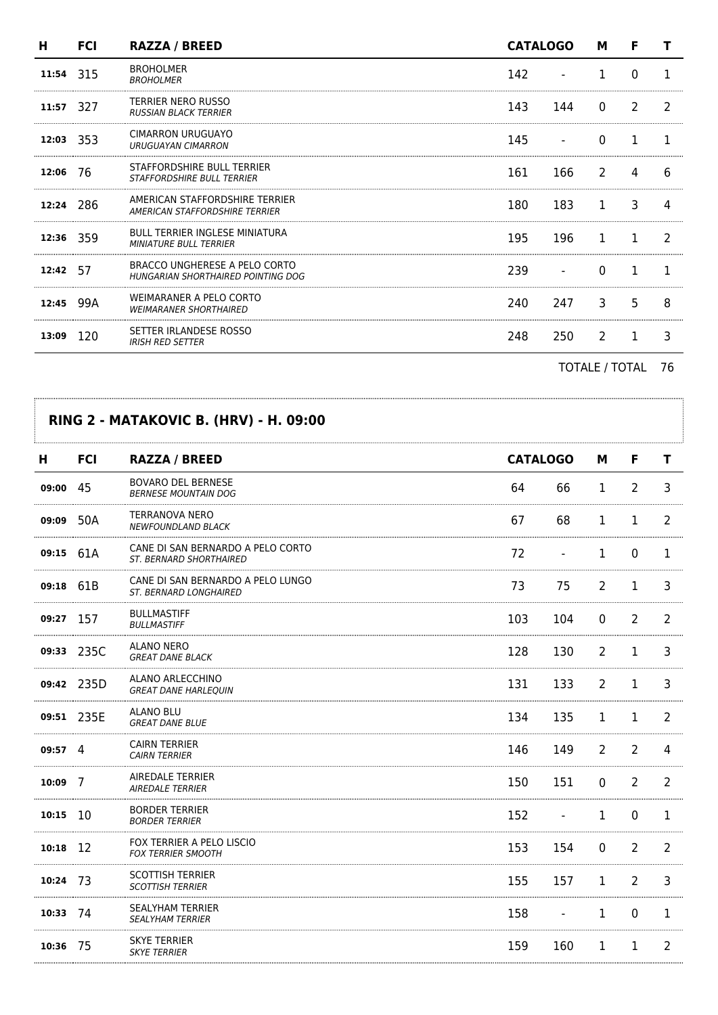| н        | <b>FCI</b>  | <b>RAZZA / BREED</b>                                                    | <b>CATALOGO</b> |     | м             |               |   |
|----------|-------------|-------------------------------------------------------------------------|-----------------|-----|---------------|---------------|---|
| 11:54    | 315         | <b>BROHOLMER</b><br><b>BROHOLMER</b>                                    | 142             |     |               | 0             |   |
| 11:57    | 327         | <b>TERRIER NERO RUSSO</b><br><b>RUSSIAN BLACK TERRIER</b>               | 143             | 144 | $\Omega$      | $\mathcal{P}$ |   |
|          | $12:03$ 353 | CIMARRON URUGUAYO<br><b>URUGUAYAN CIMARRON</b>                          | 145             |     | <sup>0</sup>  |               |   |
| 12:06    | -76         | STAFFORDSHIRE BULL TERRIER<br><b>STAFFORDSHIRE BULL TERRIER</b>         | 161             | 166 | $\mathcal{L}$ | 4             | 6 |
|          | 12:24 286   | AMERICAN STAFFORDSHIRE TERRIER<br><b>AMERICAN STAFFORDSHIRE TERRIER</b> | 180             | 183 | 1.            | 3             | Δ |
|          | 12:36 359   | <b>BULL TERRIER INGLESE MINIATURA</b><br><b>MINIATURE BULL TERRIER</b>  | 195             | 196 |               |               |   |
| 12:42 57 |             | BRACCO UNGHERESE A PELO CORTO<br>HUNGARIAN SHORTHAIRED POINTING DOG     | 239             |     |               |               |   |
| 12:45    | 99A         | WEIMARANER A PELO CORTO<br><b>WEIMARANER SHORTHAIRED</b>                | 240             | 247 | 3             | 5             | 8 |
| 13:09    | 120         | SETTER IRLANDESE ROSSO<br><b>IRISH RED SETTER</b>                       | 248             | 250 | $\mathcal{P}$ | 1             | 3 |
|          |             |                                                                         |                 |     |               |               |   |

TOTALE / TOTAL 76

| н               | <b>FCI</b> | RAZZA / BREED                                                       |     | <b>CATALOGO</b>          |                | F              | т              |
|-----------------|------------|---------------------------------------------------------------------|-----|--------------------------|----------------|----------------|----------------|
| 09:00 45        |            | <b>BOVARO DEL BERNESE</b><br><b>BERNESE MOUNTAIN DOG</b>            | 64  | 66                       | 1              | 2              | 3              |
| 09:09           | 50A        | TERRANOVA NERO<br><b>NEWFOUNDLAND BLACK</b>                         | 67  | 68                       | 1              | 1              | 2              |
| 09:15 61A       |            | CANE DI SAN BERNARDO A PELO CORTO<br><b>ST. BERNARD SHORTHAIRED</b> | 72  | $\overline{\phantom{a}}$ | $\mathbf{1}$   | $\mathbf 0$    | 1              |
| 09:18 61B       |            | CANE DI SAN BERNARDO A PELO LUNGO<br><b>ST. BERNARD LONGHAIRED</b>  | 73  | 75                       | 2              | 1              | 3              |
| 09:27           | 157        | <b>BULLMASTIFF</b><br><b>BULLMASTIFF</b>                            | 103 | 104                      | $\mathbf 0$    | $\overline{2}$ | 2              |
|                 | 09:33 235C | ALANO NERO<br><b>GREAT DANE BLACK</b>                               | 128 | 130                      | $\overline{2}$ | $\mathbf 1$    | 3              |
|                 | 09:42 235D | ALANO ARLECCHINO<br><b>GREAT DANE HARLEQUIN</b>                     | 131 | 133                      | 2              | 1              | 3              |
|                 | 09:51 235E | ALANO BLU<br><b>GREAT DANE BLUE</b>                                 | 134 | 135                      | 1              | 1              | 2              |
| $09:57 \quad 4$ |            | <b>CAIRN TERRIER</b><br><b>CAIRN TERRIER</b>                        | 146 | 149                      | 2              | $\overline{2}$ | 4              |
| $10:09$ 7       |            | AIREDALE TERRIER<br><b>AIREDALE TERRIER</b>                         | 150 | 151                      | $\mathbf 0$    | $\overline{2}$ | $\overline{2}$ |
| $10:15$ 10      |            | <b>BORDER TERRIER</b><br><b>BORDER TERRIER</b>                      | 152 | $\overline{\phantom{a}}$ | 1              | 0              | 1              |
| 10:18           | -12        | FOX TERRIER A PELO LISCIO<br><b>FOX TERRIER SMOOTH</b>              | 153 | 154                      | $\mathbf 0$    | $\overline{2}$ | 2              |
| 10:24 73        |            | <b>SCOTTISH TERRIER</b><br><b>SCOTTISH TERRIER</b>                  | 155 | 157                      | 1              | 2              | 3              |
| 10:33 74        |            | <b>SEALYHAM TERRIER</b><br><b>SEALYHAM TERRIER</b>                  | 158 | $\overline{\phantom{a}}$ | 1              | $\mathbf 0$    | 1              |
| 10:36           | - 75       | <b>SKYE TERRIER</b><br><b>SKYE TERRIER</b>                          | 159 | 160                      | 1              | 1              | 2              |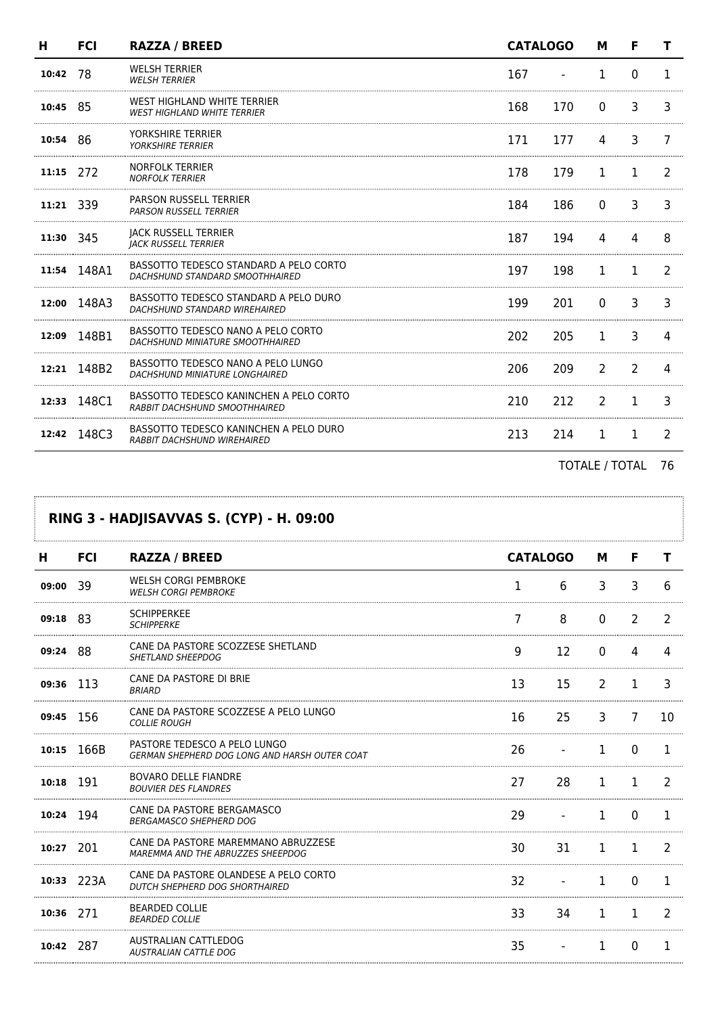| н         | <b>FCI</b>  | <b>RAZZA / BREED</b>                                                         |     | <b>CATALOGO</b> |          | F             |               |
|-----------|-------------|------------------------------------------------------------------------------|-----|-----------------|----------|---------------|---------------|
| 10:42     | 78          | <b>WELSH TERRIER</b><br><b>WELSH TERRIER</b>                                 | 167 |                 | 1        | $\Omega$      | п.            |
| 10:45     | -85         | WEST HIGHLAND WHITE TERRIER<br><b>WEST HIGHLAND WHITE TERRIER</b>            | 168 | 170             | $\Omega$ | 3             | 3             |
| 10:54 86  |             | YORKSHIRE TERRIER<br><b>YORKSHIRE TERRIER</b>                                | 171 | 177             | 4        | 3             |               |
| 11:15 272 |             | <b>NORFOLK TERRIER</b><br><b>NORFOLK TERRIER</b>                             | 178 | 179             | 1        | 1             | 2             |
| 11:21 339 |             | <b>PARSON RUSSELL TERRIER</b><br><b>PARSON RUSSELL TERRIER</b>               | 184 | 186             | $\Omega$ | 3             | 3             |
| 11:30 345 |             | <b>JACK RUSSELL TERRIER</b><br><b>IACK RUSSELL TERRIER</b>                   | 187 | 194             | 4        | 4             | 8             |
|           | 11:54 148A1 | BASSOTTO TEDESCO STANDARD A PELO CORTO<br>DACHSHUND STANDARD SMOOTHHAIRED    | 197 | 198             | 1        | 1             |               |
|           | 12:00 148A3 | BASSOTTO TEDESCO STANDARD A PELO DURO<br>DACHSHUND STANDARD WIREHAIRED       | 199 | 201             | $\Omega$ | 3             |               |
| 12:09     | 148B1       | BASSOTTO TEDESCO NANO A PELO CORTO<br>DACHSHUND MINIATURE SMOOTHHAIRED       | 202 | 205             | 1        | 3             |               |
| 12:21     | 148B2       | BASSOTTO TEDESCO NANO A PELO LUNGO<br>DACHSHUND MINIATURE LONGHAIRED         | 206 | 209             | 2        | $\mathcal{P}$ | Δ             |
| 12:33     | 148C1       | BASSOTTO TEDESCO KANINCHEN A PELO CORTO<br>RABBIT DACHSHUND SMOOTHHAIRED     | 210 | 212             | 2        | 1             | 3             |
|           | 12:42 148C3 | BASSOTTO TEDESCO KANINCHEN A PELO DURO<br><b>RABBIT DACHSHUND WIREHAIRED</b> | 213 | 214             | 1        | 1             | $\mathcal{L}$ |

TOTALE / TOTAL 76

## **RING 3 - HADJISAVVAS S. (CYP) - H. 09:00**

. . . . . . . . . . . . . . . .

| н         | <b>FCI</b> | <b>RAZZA / BREED</b>                                                          | <b>CATALOGO</b> |    | м        | F |               |
|-----------|------------|-------------------------------------------------------------------------------|-----------------|----|----------|---|---------------|
| 09:00     | -39        | <b>WELSH CORGI PEMBROKE</b><br><b>WELSH CORGI PEMBROKE</b>                    | 1               | 6  | 3        | 3 | 6             |
| 09:18     | -83        | <b>SCHIPPERKEE</b><br><b>SCHIPPERKE</b>                                       |                 | 8  | 0        | 2 |               |
| 09:24 88  |            | CANE DA PASTORE SCOZZESE SHETLAND<br>SHETLAND SHEEPDOG                        | q               | 12 | $\Omega$ | 4 |               |
| 09:36 113 |            | CANE DA PASTORE DI BRIE<br><b>BRIARD</b>                                      | 13              | 15 | 2        | 1 | ٦             |
| 09:45     | -156       | CANE DA PASTORE SCOZZESE A PELO LUNGO<br><b>COLLIE ROUGH</b>                  | 16              | 25 | 3        | 7 | 10            |
| 10:15     | 166B       | PASTORE TEDESCO A PELO LUNGO<br>GERMAN SHEPHERD DOG LONG AND HARSH OUTER COAT | 26              |    | 1        | 0 | 1             |
| 10:18     | 191        | <b>BOVARO DELLE FIANDRE</b><br><b>BOUVIER DES FLANDRES</b>                    | 27              | 28 | 1        | 1 | $\mathcal{P}$ |
| 10:24 194 |            | CANE DA PASTORE BERGAMASCO<br><b>BERGAMASCO SHEPHERD DOG</b>                  | 29              |    | 1        | 0 | 1             |
| 10:27     | 201        | CANE DA PASTORE MAREMMANO ABRUZZESE<br>MAREMMA AND THE ABRUZZES SHEEPDOG      | 30              | 31 | 1        | 1 | 2             |
| 10:33     | 223A       | CANE DA PASTORE OLANDESE A PELO CORTO<br>DUTCH SHEPHERD DOG SHORTHAIRED       | 32              |    | 1        | 0 | 1.            |
| 10:36     | 271        | <b>BEARDED COLLIE</b><br><b>BEARDED COLLIE</b>                                | 33              | 34 | 1        | 1 | 2             |
| 10:42     | 287        | AUSTRALIAN CATTLEDOG<br><b>AUSTRALIAN CATTLE DOG</b>                          | 35              |    | 1        | 0 | 1.            |